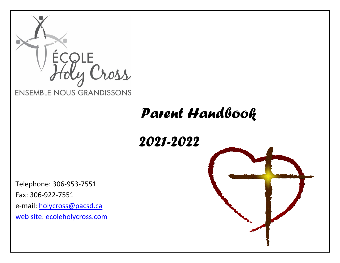

# *Parent Handbook*

*2021-2022*

Telephone: 306-953-7551 Fax: 306-922-7551 e-mail: [holycross@pacsd.ca](mailto:holycross@pacsd.ca) web site: ecoleholycross.com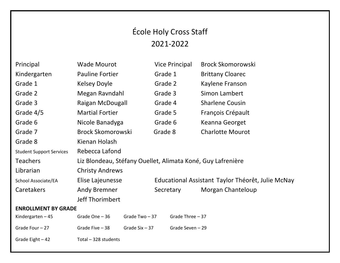## École Holy Cross Staff 2021-2022

|                            | Principal                       | <b>Wade Mourot</b>                                          |  | <b>Vice Principal</b>                             | <b>Brock Skomorowski</b> |
|----------------------------|---------------------------------|-------------------------------------------------------------|--|---------------------------------------------------|--------------------------|
|                            | Kindergarten                    | <b>Pauline Fortier</b>                                      |  | Grade 1                                           | <b>Brittany Cloarec</b>  |
|                            | Grade 1                         | <b>Kelsey Doyle</b>                                         |  | Grade 2                                           | Kaylene Franson          |
|                            | Grade 2                         | Megan Ravndahl                                              |  | Grade 3                                           | Simon Lambert            |
|                            | Grade 3                         | Raigan McDougall                                            |  | Grade 4                                           | <b>Sharlene Cousin</b>   |
|                            | Grade 4/5                       | <b>Martial Fortier</b>                                      |  | Grade 5                                           | François Crépault        |
|                            | Grade 6                         | Nicole Banadyga                                             |  | Grade 6                                           | Keanna Georget           |
|                            | Grade 7                         | <b>Brock Skomorowski</b>                                    |  | Grade 8                                           | <b>Charlotte Mourot</b>  |
|                            | Grade 8                         | Kienan Holash                                               |  |                                                   |                          |
|                            | <b>Student Support Services</b> | Rebecca Lafond                                              |  |                                                   |                          |
|                            | <b>Teachers</b>                 | Liz Blondeau, Stéfany Ouellet, Alimata Koné, Guy Lafrenière |  |                                                   |                          |
|                            | Librarian                       | <b>Christy Andrews</b>                                      |  |                                                   |                          |
|                            | School Associate/EA             | Elise Lajeunesse                                            |  | Educational Assistant Taylor Théorêt, Julie McNay |                          |
|                            | Caretakers                      | <b>Andy Bremner</b>                                         |  | Secretary                                         | Morgan Chanteloup        |
|                            |                                 | Jeff Thorimbert                                             |  |                                                   |                          |
| <b>ENROLLMENT BY GRADE</b> |                                 |                                                             |  |                                                   |                          |
|                            | Kindergarten $-45$              | Grade Two-37<br>Grade One - 36                              |  | Grade Three $-37$                                 |                          |
|                            | Grade Four - 27                 | Grade Five - 38<br>Grade $Six - 37$                         |  | Grade Seven - 29                                  |                          |
|                            | Grade Eight $-42$               | Total - 328 students                                        |  |                                                   |                          |
|                            |                                 |                                                             |  |                                                   |                          |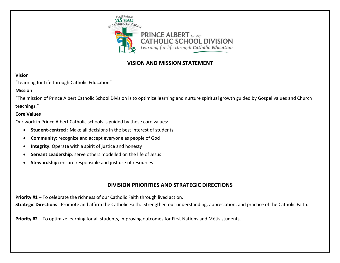

## **VISION AND MISSION STATEMENT**

#### **Vision**

"Learning for Life through Catholic Education"

#### **Mission**

"The mission of Prince Albert Catholic School Division is to optimize learning and nurture spiritual growth guided by Gospel values and Church teachings."

#### **Core Values**

Our work in Prince Albert Catholic schools is guided by these core values:

- **Student-centred :** Make all decisions in the best interest of students
- **Community:** recognize and accept everyone as people of God
- **Integrity:** Operate with a spirit of justice and honesty
- **Servant Leadership:** serve others modelled on the life of Jesus
- **Stewardship:** ensure responsible and just use of resources

## **DIVISION PRIORITIES AND STRATEGIC DIRECTIONS**

**Priority #1** – To celebrate the richness of our Catholic Faith through lived action.

**Strategic Directions**: Promote and affirm the Catholic Faith. Strengthen our understanding, appreciation, and practice of the Catholic Faith.

**Priority #2** – To optimize learning for all students, improving outcomes for First Nations and Métis students.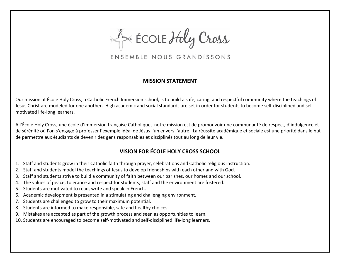ECOLE Holy Cross

ENSEMBLE NOUS GRANDISSONS

## **MISSION STATEMENT**

Our mission at École Holy Cross, a Catholic French Immersion school, is to build a safe, caring, and respectful community where the teachings of Jesus Christ are modeled for one another. High academic and social standards are set in order for students to become self-disciplined and selfmotivated life-long learners.

A l'École Holy Cross, une école d'immersion française Catholique, notre mission est de promouvoir une communauté de respect, d'indulgence et de sérénité où l'on s'engage à professer l'exemple idéal de Jésus l'un envers l'autre. La réussite académique et sociale est une priorité dans le but de permettre aux étudiants de devenir des gens responsables et disciplinés tout au long de leur vie.

## **VISION FOR ÉCOLE HOLY CROSS SCHOOL**

- 1. Staff and students grow in their Catholic faith through prayer, celebrations and Catholic religious instruction.
- 2. Staff and students model the teachings of Jesus to develop friendships with each other and with God.
- 3. Staff and students strive to build a community of faith between our parishes, our homes and our school.
- 4. The values of peace, tolerance and respect for students, staff and the environment are fostered.
- 5. Students are motivated to read, write and speak in French.
- 6. Academic development is presented in a stimulating and challenging environment.
- 7. Students are challenged to grow to their maximum potential.
- 8. Students are informed to make responsible, safe and healthy choices.
- 9. Mistakes are accepted as part of the growth process and seen as opportunities to learn.
- 10. Students are encouraged to become self-motivated and self-disciplined life-long learners.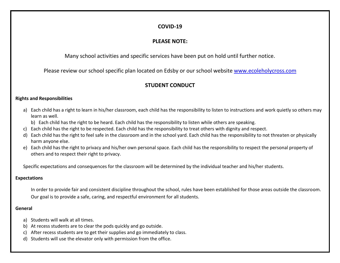## **COVID-19**

## **PLEASE NOTE:**

Many school activities and specific services have been put on hold until further notice.

Please review our school specific plan located on Edsby or our school website [www.ecoleholycross.com](http://www.ecoleholycross.com/)

## **STUDENT CONDUCT**

#### **Rights and Responsibilities**

- a) Each child has a right to learn in his/her classroom, each child has the responsibility to listen to instructions and work quietly so others may learn as well.
	- b) Each child has the right to be heard. Each child has the responsibility to listen while others are speaking.
- c) Each child has the right to be respected. Each child has the responsibility to treat others with dignity and respect.
- d) Each child has the right to feel safe in the classroom and in the school yard. Each child has the responsibility to not threaten or physically harm anyone else.
- e) Each child has the right to privacy and his/her own personal space. Each child has the responsibility to respect the personal property of others and to respect their right to privacy.

Specific expectations and consequences for the classroom will be determined by the individual teacher and his/her students.

#### **Expectations**

In order to provide fair and consistent discipline throughout the school, rules have been established for those areas outside the classroom. Our goal is to provide a safe, caring, and respectful environment for all students.

#### **General**

- a) Students will walk at all times.
- b) At recess students are to clear the pods quickly and go outside.
- c) After recess students are to get their supplies and go immediately to class.
- d) Students will use the elevator only with permission from the office.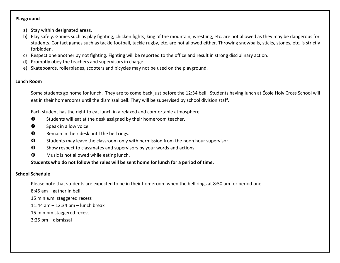#### **Playground**

- a) Stay within designated areas.
- b) Play safely. Games such as play fighting, chicken fights, king of the mountain, wrestling, etc. are not allowed as they may be dangerous for students. Contact games such as tackle football, tackle rugby, etc. are not allowed either. Throwing snowballs, sticks, stones, etc. is strictly forbidden.
- c) Respect one another by not fighting. Fighting will be reported to the office and result in strong disciplinary action.
- d) Promptly obey the teachers and supervisors in charge.
- e) Skateboards, rollerblades, scooters and bicycles may not be used on the playground.

#### **Lunch Room**

Some students go home for lunch. They are to come back just before the 12:34 bell. Students having lunch at École Holy Cross School will eat in their homerooms until the dismissal bell. They will be supervised by school division staff.

Each student has the right to eat lunch in a relaxed and comfortable atmosphere.

- **O** Students will eat at the desk assigned by their homeroom teacher.
- **8** Speak in a low voice.
- **8** Remain in their desk until the bell rings.
- **O** Students may leave the classroom only with permission from the noon hour supervisor.
- **Show respect to classmates and supervisors by your words and actions.**
- $\odot$  Music is not allowed while eating lunch.

## **Students who do not follow the rules will be sent home for lunch for a period of time.**

## **School Schedule**

Please note that students are expected to be in their homeroom when the bell rings at 8:50 am for period one.

8:45 am – gather in bell

15 min a.m. staggered recess

11:44 am – 12:34 pm – lunch break

15 min pm staggered recess

3:25 pm – dismissal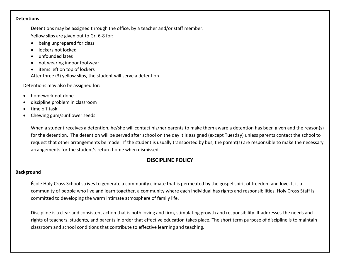#### **Detentions**

Detentions may be assigned through the office, by a teacher and/or staff member. Yellow slips are given out to Gr. 6-8 for:

- being unprepared for class
- lockers not locked
- unfounded lates
- not wearing indoor footwear
- items left on top of lockers

After three (3) yellow slips, the student will serve a detention.

Detentions may also be assigned for:

- homework not done
- discipline problem in classroom
- time off task
- Chewing gum/sunflower seeds

When a student receives a detention, he/she will contact his/her parents to make them aware a detention has been given and the reason(s) for the detention. The detention will be served after school on the day it is assigned (except Tuesday) unless parents contact the school to request that other arrangements be made. If the student is usually transported by bus, the parent(s) are responsible to make the necessary arrangements for the student's return home when dismissed.

## **DISCIPLINE POLICY**

#### **Background**

École Holy Cross School strives to generate a community climate that is permeated by the gospel spirit of freedom and love. It is a community of people who live and learn together, a community where each individual has rights and responsibilities. Holy Cross Staff is committed to developing the warm intimate atmosphere of family life.

Discipline is a clear and consistent action that is both loving and firm, stimulating growth and responsibility. It addresses the needs and rights of teachers, students, and parents in order that effective education takes place. The short term purpose of discipline is to maintain classroom and school conditions that contribute to effective learning and teaching.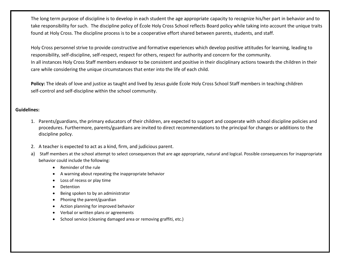The long term purpose of discipline is to develop in each student the age appropriate capacity to recognize his/her part in behavior and to take responsibility for such. The discipline policy of École Holy Cross School reflects Board policy while taking into account the unique traits found at Holy Cross. The discipline process is to be a cooperative effort shared between parents, students, and staff.

Holy Cross personnel strive to provide constructive and formative experiences which develop positive attitudes for learning, leading to responsibility, self-discipline, self-respect, respect for others, respect for authority and concern for the community. In all instances Holy Cross Staff members endeavor to be consistent and positive in their disciplinary actions towards the children in their care while considering the unique circumstances that enter into the life of each child.

Policy: The ideals of love and justice as taught and lived by Jesus guide École Holy Cross School Staff members in teaching children self-control and self-discipline within the school community.

#### **Guidelines:**

- 1. Parents/guardians, the primary educators of their children, are expected to support and cooperate with school discipline policies and procedures. Furthermore, parents/guardians are invited to direct recommendations to the principal for changes or additions to the discipline policy.
- 2. A teacher is expected to act as a kind, firm, and judicious parent.
- a) Staff members at the school attempt to select consequences that are age appropriate, natural and logical. Possible consequences for inappropriate behavior could include the following:
	- Reminder of the rule
	- A warning about repeating the inappropriate behavior
	- Loss of recess or play time
	- **Detention**
	- Being spoken to by an administrator
	- Phoning the parent/guardian
	- Action planning for improved behavior
	- Verbal or written plans or agreements
	- School service (cleaning damaged area or removing graffiti, etc.)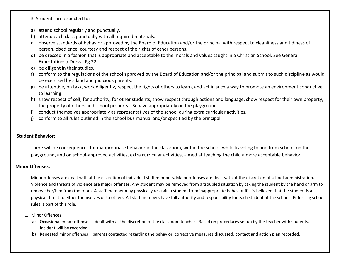3. Students are expected to:

- a) attend school regularly and punctually.
- b) attend each class punctually with all required materials.
- c) observe standards of behavior approved by the Board of Education and/or the principal with respect to cleanliness and tidiness of person, obedience, courtesy and respect of the rights of other persons.
- d) be dressed in a fashion that is appropriate and acceptable to the morals and values taught in a Christian School. See General Expectations / Dress. Pg 22
- e) be diligent in their studies.
- f) conform to the regulations of the school approved by the Board of Education and/or the principal and submit to such discipline as would be exercised by a kind and judicious parents.
- g) be attentive, on task, work diligently, respect the rights of others to learn, and act in such a way to promote an environment conductive to learning.
- h) show respect of self, for authority, for other students, show respect through actions and language, show respect for their own property, the property of others and school property. Behave appropriately on the playground.
- i) conduct themselves appropriately as representatives of the school during extra curricular activities.
- j) conform to all rules outlined in the school bus manual and/or specified by the principal.

#### **Student Behavior**:

There will be consequences for inappropriate behavior in the classroom, within the school, while traveling to and from school, on the playground, and on school-approved activities, extra curricular activities, aimed at teaching the child a more acceptable behavior.

#### **Minor Offenses:**

Minor offenses are dealt with at the discretion of individual staff members. Major offenses are dealt with at the discretion of school administration. Violence and threats of violence are major offenses. Any student may be removed from a troubled situation by taking the student by the hand or arm to remove her/him from the room. A staff member may physically restrain a student from inappropriate behavior if it is believed that the student is a physical threat to either themselves or to others. All staff members have full authority and responsibility for each student at the school. Enforcing school rules is part of this role.

- 1. Minor Offences
	- a) Occasional minor offenses dealt with at the discretion of the classroom teacher. Based on procedures set up by the teacher with students. Incident will be recorded.
	- b) Repeated minor offenses parents contacted regarding the behavior, corrective measures discussed, contact and action plan recorded.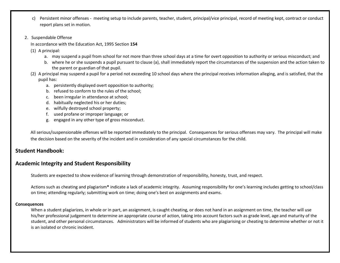- c) Persistent minor offenses meeting setup to include parents, teacher, student, principal/vice principal, record of meeting kept, contract or conduct report plans set in motion.
- 2. Suspendable Offense
	- In accordance with the Education Act, 1995 Section **154**
	- (1) A principal:
		- a. may suspend a pupil from school for not more than three school days at a time for overt opposition to authority or serious misconduct; and
		- b. where he or she suspends a pupil pursuant to clause (a), shall immediately report the circumstances of the suspension and the action taken to the parent or guardian of that pupil.
	- (2) A principal may suspend a pupil for a period not exceeding 10 school days where the principal receives information alleging, and is satisfied, that the pupil has:
		- a. persistently displayed overt opposition to authority;
		- b. refused to conform to the rules of the school;
		- c. been irregular in attendance at school;
		- d. habitually neglected his or her duties;
		- e. wilfully destroyed school property;
		- f. used profane or improper language; or
		- g. engaged in any other type of gross misconduct.

All serious/suspensionable offenses will be reported immediately to the principal. Consequences for serious offenses may vary. The principal will make the decision based on the severity of the incident and in consideration of any special circumstances for the child.

#### **Student Handbook:**

## **Academic Integrity and Student Responsibility**

Students are expected to show evidence of learning through demonstration of responsibility, honesty, trust, and respect.

Actions such as cheating and plagiarism**\*** indicate a lack of academic integrity. Assuming responsibility for one's learning includes getting to school/class on time; attending regularly; submitting work on time; doing one's best on assignments and exams.

#### **Consequences**

When a student plagiarizes, in whole or in part, an assignment, is caught cheating, or does not hand in an assignment on time, the teacher will use his/her professional judgement to determine an appropriate course of action, taking into account factors such as grade level, age and maturity of the student, and other personal circumstances. Administrators will be informed of students who are plagiarising or cheating to determine whether or not it is an isolated or chronic incident.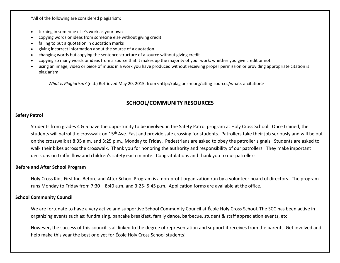**\***All of the following are considered plagiarism:

- turning in someone else's work as your own
- copying words or ideas from someone else without giving credit
- failing to put a quotation in quotation marks
- giving incorrect information about the source of a quotation
- changing words but copying the sentence structure of a source without giving credit
- copying so many words or ideas from a source that it makes up the majority of your work, whether you give credit or not
- using an image, video or piece of music in a work you have produced without receiving proper permission or providing appropriate citation is plagiarism.

*What Is Plagiarism?* (n.d.) Retrieved May 20, 2015, from <http://plagiarism.org/citing-sources/whats-a-citation>

## **SCHOOL/COMMUNITY RESOURCES**

#### **Safety Patrol**

Students from grades 4 & 5 have the opportunity to be involved in the Safety Patrol program at Holy Cross School. Once trained, the students will patrol the crosswalk on 15<sup>th</sup> Ave. East and provide safe crossing for students. Patrollers take their job seriously and will be out on the crosswalk at 8:35 a.m. and 3:25 p.m., Monday to Friday. Pedestrians are asked to obey the patroller signals. Students are asked to walk their bikes across the crosswalk. Thank you for honoring the authority and responsibility of our patrollers. They make important decisions on traffic flow and children's safety each minute. Congratulations and thank you to our patrollers.

#### **Before and After School Program**

Holy Cross Kids First Inc. Before and After School Program is a non-profit organization run by a volunteer board of directors. The program runs Monday to Friday from 7:30 – 8:40 a.m. and 3:25- 5:45 p.m. Application forms are available at the office.

#### **School Community Council**

We are fortunate to have a very active and supportive School Community Council at École Holy Cross School. The SCC has been active in organizing events such as: fundraising, pancake breakfast, family dance, barbecue, student & staff appreciation events, etc.

However, the success of this council is all linked to the degree of representation and support it receives from the parents. Get involved and help make this year the best one yet for École Holy Cross School students!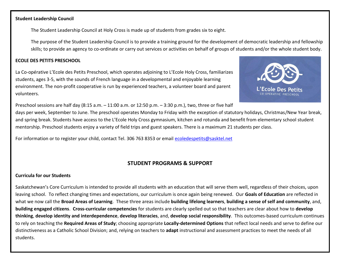#### **Student Leadership Council**

The Student Leadership Council at Holy Cross is made up of students from grades six to eight.

The purpose of the Student Leadership Council is to provide a training ground for the development of democratic leadership and fellowship skills; to provide an agency to co-ordinate or carry out services or activities on behalf of groups of students and/or the whole student body.

#### **ECOLE DES PETITS PRESCHOOL**

La Co-opérative L'Ecole des Petits Preschool, which operates adjoining to L'Ecole Holy Cross, familiarizes students, ages 3-5, with the sounds of French language in a developmental and enjoyable learning environment. The non-profit cooperative is run by experienced teachers, a volunteer board and parent volunteers.



Preschool sessions are half day (8:15 a.m. – 11:00 a.m. or 12:50 p.m. – 3:30 p.m.), two, three or five half

days per week, September to June. The preschool operates Monday to Friday with the exception of statutory holidays, Christmas/New Year break, and spring break. Students have access to the L'Ecole Holy Cross gymnasium, kitchen and rotunda and benefit from elementary school student mentorship. Preschool students enjoy a variety of field trips and guest speakers. There is a maximum 21 students per class.

For information or to register your child, contact Tel. 306 763 8353 or email [ecoledespetits@sasktel.net](mailto:ecoledespetits@sasktel.net)

## **STUDENT PROGRAMS & SUPPORT**

#### **Curricula for our Students**

Saskatchewan's Core Curriculum is intended to provide all students with an education that will serve them well, regardless of their choices, upon leaving school. To reflect changing times and expectations, our curriculum is once again being renewed. Our **Goals of Education** are reflected in what we now call the **Broad Areas of Learning**. These three areas include **building lifelong learners**, **building a sense of self and community**, and, **building engaged citizens**. **Cross-curricular competencies** for students are clearly spelled out so that teachers are clear about how to **develop thinking**, **develop identity and interdependence**, **develop literacies**, and, **develop social responsibility**. This outcomes-based curriculum continues to rely on teaching the **Required Areas of Study**; choosing appropriate **Locally-determined Options** that reflect local needs and serve to define our distinctiveness as a Catholic School Division; and, relying on teachers to **adapt** instructional and assessment practices to meet the needs of all students.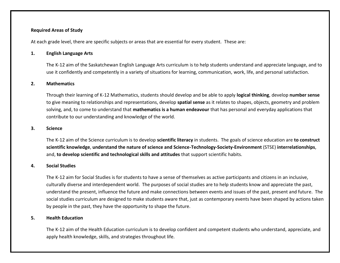#### **Required Areas of Study**

At each grade level, there are specific subjects or areas that are essential for every student. These are:

#### **1. English Language Arts**

The K-12 aim of the Saskatchewan English Language Arts curriculum is to help students understand and appreciate language, and to use it confidently and competently in a variety of situations for learning, communication, work, life, and personal satisfaction.

#### **2. Mathematics**

Through their learning of K-12 Mathematics, students should develop and be able to apply **logical thinking**, develop **number sense** to give meaning to relationships and representations, develop **spatial sense** as it relates to shapes, objects, geometry and problem solving, and, to come to understand that **mathematics is a human endeavour** that has personal and everyday applications that contribute to our understanding and knowledge of the world.

#### **3. Science**

The K-12 aim of the Science curriculum is to develop **scientific literacy** in students. The goals of science education are **to construct scientific knowledge**, **understand the nature of science and Science-Technology-Society-Environment** (STSE) **interrelationships**, and, **to develop scientific and technological skills and attitudes** that support scientific habits.

#### **4. Social Studies**

The K-12 aim for Social Studies is for students to have a sense of themselves as active participants and citizens in an inclusive, culturally diverse and interdependent world. The purposes of social studies are to help students know and appreciate the past, understand the present, influence the future and make connections between events and issues of the past, present and future. The social studies curriculum are designed to make students aware that, just as contemporary events have been shaped by actions taken by people in the past, they have the opportunity to shape the future.

#### **5. Health Education**

The K-12 aim of the Health Education curriculum is to develop confident and competent students who understand, appreciate, and apply health knowledge, skills, and strategies throughout life.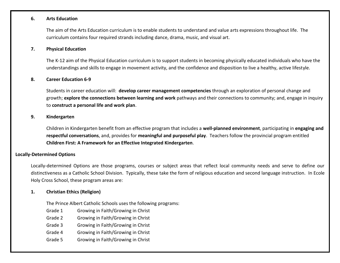#### **6. Arts Education**

The aim of the Arts Education curriculum is to enable students to understand and value arts expressions throughout life. The curriculum contains four required strands including dance, drama, music, and visual art.

#### **7. Physical Education**

The K-12 aim of the Physical Education curriculum is to support students in becoming physically educated individuals who have the understandings and skills to engage in movement activity, and the confidence and disposition to live a healthy, active lifestyle.

#### **8. Career Education 6-9**

Students in career education will: **develop career management competencies** through an exploration of personal change and growth; **explore the connections between learning and work** pathways and their connections to community; and, engage in inquiry to **construct a personal life and work plan**.

#### **9. Kindergarten**

Children in Kindergarten benefit from an effective program that includes a **well-planned environment**, participating in **engaging and respectful conversations**, and, provides for **meaningful and purposeful play**. Teachers follow the provincial program entitled **Children First: A Framework for an Effective Integrated Kindergarten**.

#### **Locally-Determined Options**

Locally-determined Options are those programs, courses or subject areas that reflect local community needs and serve to define our distinctiveness as a Catholic School Division. Typically, these take the form of religious education and second language instruction. In Ecole Holy Cross School, these program areas are:

#### **1. Christian Ethics (Religion)**

The Prince Albert Catholic Schools uses the following programs:

- Grade 1 Growing in Faith/Growing in Christ
- Grade 2 Growing in Faith/Growing in Christ
- Grade 3 Growing in Faith/Growing in Christ
- Grade 4 Growing in Faith/Growing in Christ
- Grade 5 Growing in Faith/Growing in Christ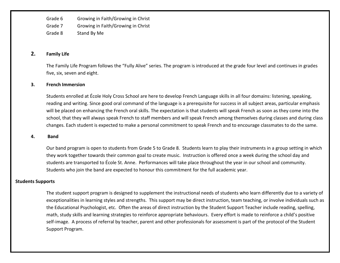Grade 6 Growing in Faith/Growing in Christ Grade 7 Growing in Faith/Growing in Christ Grade 8 Stand By Me

#### **2. Family Life**

The Family Life Program follows the "Fully Alive" series. The program is introduced at the grade four level and continues in grades five, six, seven and eight.

#### **3. French Immersion**

Students enrolled at École Holy Cross School are here to develop French Language skills in all four domains: listening, speaking, reading and writing. Since good oral command of the language is a prerequisite for success in all subject areas, particular emphasis will be placed on enhancing the French oral skills. The expectation is that students will speak French as soon as they come into the school, that they will always speak French to staff members and will speak French among themselves during classes and during class changes. Each student is expected to make a personal commitment to speak French and to encourage classmates to do the same.

#### **4. Band**

Our band program is open to students from Grade 5 to Grade 8. Students learn to play their instruments in a group setting in which they work together towards their common goal to create music. Instruction is offered once a week during the school day and students are transported to École St. Anne. Performances will take place throughout the year in our school and community. Students who join the band are expected to honour this commitment for the full academic year.

#### **Students Supports**

The student support program is designed to supplement the instructional needs of students who learn differently due to a variety of exceptionalities in learning styles and strengths. This support may be direct instruction, team teaching, or involve individuals such as the Educational Psychologist, etc. Often the areas of direct instruction by the Student Support Teacher include reading, spelling, math, study skills and learning strategies to reinforce appropriate behaviours. Every effort is made to reinforce a child's positive self-image. A process of referral by teacher, parent and other professionals for assessment is part of the protocol of the Student Support Program.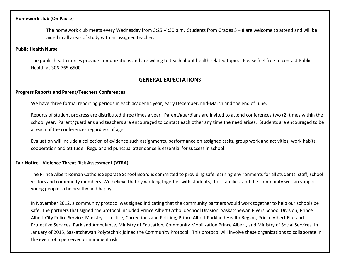#### **Homework club (On Pause)**

The homework club meets every Wednesday from 3:25 -4:30 p.m. Students from Grades 3 – 8 are welcome to attend and will be aided in all areas of study with an assigned teacher.

#### **Public Health Nurse**

The public health nurses provide immunizations and are willing to teach about health related topics. Please feel free to contact Public Health at 306-765-6500.

## **GENERAL EXPECTATIONS**

#### **Progress Reports and Parent/Teachers Conferences**

We have three formal reporting periods in each academic year; early December, mid-March and the end of June.

Reports of student progress are distributed three times a year. Parent/guardians are invited to attend conferences two (2) times within the school year. Parent/guardians and teachers are encouraged to contact each other any time the need arises. Students are encouraged to be at each of the conferences regardless of age.

Evaluation will include a collection of evidence such assignments, performance on assigned tasks, group work and activities, work habits, cooperation and attitude. Regular and punctual attendance is essential for success in school.

#### **Fair Notice - [Violence Threat Risk Assessment \(VTRA\)](http://www.pacsd.ca/Our-Students-and-Parents/violence-threat-risk-assessment-vtra.html)**

The Prince Albert Roman Catholic Separate School Board is committed to providing safe learning environments for all students, staff, school visitors and community members. We believe that by working together with students, their families, and the community we can support young people to be healthy and happy.

In November 2012, a community protocol was signed indicating that the community partners would work together to help our schools be safe. The partners that signed the protocol included Prince Albert Catholic School Division, Saskatchewan Rivers School Division, Prince Albert City Police Service, Ministry of Justice, Corrections and Policing, Prince Albert Parkland Health Region, Prince Albert Fire and Protective Services, Parkland Ambulance, Ministry of Education, Community Mobilization Prince Albert, and Ministry of Social Services. In January of 2015, Saskatchewan Polytechnic joined the Community Protocol. This protocol will involve these organizations to collaborate in the event of a perceived or imminent risk.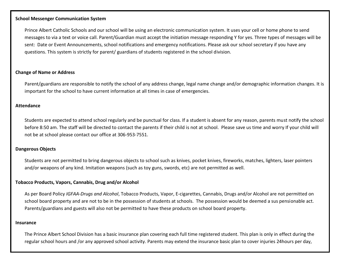#### **School Messenger Communication System**

Prince Albert Catholic Schools and our school will be using an electronic communication system. It uses your cell or home phone to send messages to via a text or voice call. Parent/Guardian must accept the initiation message responding Y for yes. Three types of messages will be sent: Date or Event Announcements, school notifications and emergency notifications. Please ask our school secretary if you have any questions. This system is strictly for parent/ guardians of students registered in the school division.

#### **Change of Name or Address**

Parent/guardians are responsible to notify the school of any address change, legal name change and/or demographic information changes. It is important for the school to have current information at all times in case of emergencies.

#### **Attendance**

Students are expected to attend school regularly and be punctual for class. If a student is absent for any reason, parents must notify the school before 8:50 am. The staff will be directed to contact the parents if their child is not at school. Please save us time and worry If your child will not be at school please contact our office at 306-953-7551.

#### **Dangerous Objects**

Students are not permitted to bring dangerous objects to school such as knives, pocket knives, fireworks, matches, lighters, laser pointers and/or weapons of any kind. Imitation weapons (such as toy guns, swords, etc) are not permitted as well.

#### **Tobacco Products, Vapors, Cannabis, Drug and/or Alcohol**

As per Board Policy *IGFAA-Drugs and Alcohol*, Tobacco Products, Vapor, E-cigarettes, Cannabis, Drugs and/or Alcohol are not permitted on school board property and are not to be in the possession of students at schools. The possession would be deemed a sus pensionable act. Parents/guardians and guests will also not be permitted to have these products on school board property.

#### **Insurance**

The Prince Albert School Division has a basic insurance plan covering each full time registered student. This plan is only in effect during the regular school hours and /or any approved school activity. Parents may extend the insurance basic plan to cover injuries 24hours per day,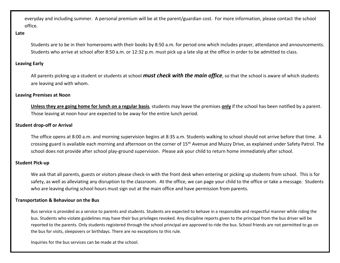everyday and including summer. A personal premium will be at the parent/guardian cost. For more information, please contact the school office.

#### **Late**

Students are to be in their homerooms with their books by 8:50 a.m. for period one which includes prayer, attendance and announcements. Students who arrive at school after 8:50 a.m. or 12:32 p.m. must pick up a late slip at the office in order to be admitted to class.

#### **Leaving Early**

All parents picking up a student or students at school *must check with the main office*, so that the school is aware of which students are leaving and with whom.

#### **Leaving Premises at Noon**

**Unless they are going home for lunch on a regular basis**, students may leave the premises **only** if the school has been notified by a parent. Those leaving at noon hour are expected to be away for the entire lunch period.

#### **Student drop-off or Arrival**

The office opens at 8:00 a.m. and morning supervision begins at 8:35 a.m. Students walking to school should not arrive before that time. A crossing guard is available each morning and afternoon on the corner of 15<sup>th</sup> Avenue and Muzzy Drive, as explained under Safety Patrol. The school does not provide after school play-ground supervision. Please ask your child to return home immediately after school.

#### **Student Pick-up**

We ask that all parents, guests or visitors please check-in with the front desk when entering or picking up students from school. This is for safety, as well as alleviating any disruption to the classroom. At the office, we can page your child to the office or take a message. Students who are leaving during school hours must sign out at the main office and have permission from parents.

#### **Transportation & Behaviour on the Bus**

Bus service is provided as a service to parents and students. Students are expected to behave in a responsible and respectful manner while riding the bus. Students who violate guidelines may have their bus privileges revoked. Any discipline reports given to the principal from the bus driver will be reported to the parents. Only students registered through the school principal are approved to ride the bus. School friends are not permitted to go on the bus for visits, sleepovers or birthdays. There are no exceptions to this rule.

Inquiries for the bus services can be made at the school.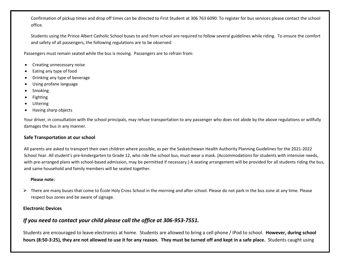Confirmation of pickup times and drop off times can be directed to First Student at 306 763 6090. To register for bus services please contact the school office.

Students using the Prince Albert Catholic School buses to and from school are required to follow several guidelines while riding. To ensure the comfort and safety of all passengers, the following regulations are to be observed:

Passengers must remain seated while the bus is moving. Passengers are to refrain from:

- Creating unnecessary noise
- Eating any type of food
- Drinking any type of beverage
- Using profane language
- Smoking
- Fighting
- **Littering**
- Having sharp objects

Your driver, in consultation with the school principals, may refuse transportation to any passenger who does not abide by the above regulations or willfully damages the bus in any manner.

#### **Safe Transportation at our school**

All parents are asked to transport their own children where possible, as per the Saskatchewan Health Authority Planning Guidelines for the 2021-2022 School Year. All student's pre-kindergarten to Grade 12, who ride the school bus, must wear a mask. (Accommodations for students with intensive needs, with pre-arranged plans with school-based admission, may be permitted if necessary.) A seating arrangement will be provided for all students riding the bus, and same household and family members will be seated together.

#### **Please note:**

➢ There are many buses that come to École Holy Cross School in the morning and after school. Please do not park in the bus zone at any time. Please respect bus zones and be aware of signage.

#### **Electronic Devices**

## *If you need to contact your child please call the office at 306-953-7551.*

Students are encouraged to leave electronics at home. Students are allowed to bring a cell phone / IPod to school. **However, during school hours (8:50-3:25), they are not allowed to use it for any reason. They must be turned off and kept in a safe place.** Students caught using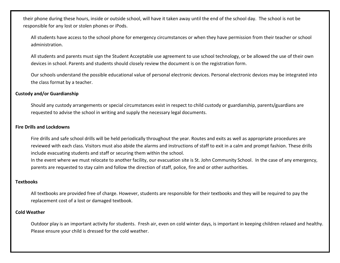their phone during these hours, inside or outside school, will have it taken away until the end of the school day. The school is not be responsible for any lost or stolen phones or iPods.

All students have access to the school phone for emergency circumstances or when they have permission from their teacher or school administration.

All students and parents must sign the Student Acceptable use agreement to use school technology, or be allowed the use of their own devices in school. Parents and students should closely review the document is on the registration form.

Our schools understand the possible educational value of personal electronic devices. Personal electronic devices may be integrated into the class format by a teacher.

#### **Custody and/or Guardianship**

Should any custody arrangements or special circumstances exist in respect to child custody or guardianship, parents/guardians are requested to advise the school in writing and supply the necessary legal documents.

#### **Fire Drills and Lockdowns**

Fire drills and safe school drills will be held periodically throughout the year. Routes and exits as well as appropriate procedures are reviewed with each class. Visitors must also abide the alarms and instructions of staff to exit in a calm and prompt fashion. These drills include evacuating students and staff or securing them within the school.

In the event where we must relocate to another facility, our evacuation site is St. John Community School. In the case of any emergency, parents are requested to stay calm and follow the direction of staff, police, fire and or other authorities.

#### **Textbooks**

All textbooks are provided free of charge. However, students are responsible for their textbooks and they will be required to pay the replacement cost of a lost or damaged textbook.

#### **Cold Weather**

Outdoor play is an important activity for students. Fresh air, even on cold winter days, is important in keeping children relaxed and healthy. Please ensure your child is dressed for the cold weather.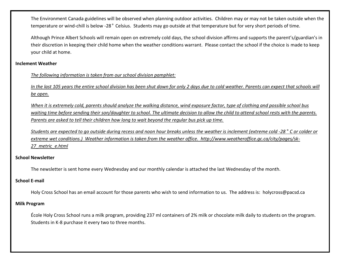The Environment Canada guidelines will be observed when planning outdoor activities. Children may or may not be taken outside when the temperature or wind-chill is below -28° Celsius. Students may go outside at that temperature but for very short periods of time.

Although Prince Albert Schools will remain open on extremely cold days, the school division affirms and supports the parent's/guardian's in their discretion in keeping their child home when the weather conditions warrant. Please contact the school if the choice is made to keep your child at home.

#### **Inclement Weather**

#### *The following information is taken from our school division pamphlet:*

*In the last 105 years the entire school division has been shut down for only 2 days due to cold weather. Parents can expect that schools will be open.*

*When it is extremely cold, parents should analyze the walking distance, wind exposure factor, type of clothing and possible school bus waiting time before sending their son/daughter to school. The ultimate decision to allow the child to attend school rests with the parents. Parents are asked to tell their children how long to wait beyond the regular bus pick up time.*

*Students are expected to go outside during recess and noon hour breaks unless the weather is inclement (extreme cold -28° C or colder or extreme wet conditions.) Weather information is taken from the weather office. http://www.weatheroffice.gc.ca/city/pages/sk-27\_metric\_e.html*

#### **School Newsletter**

The newsletter is sent home every Wednesday and our monthly calendar is attached the last Wednesday of the month.

#### **School E-mail**

Holy Cross School has an email account for those parents who wish to send information to us. The address is: holycross@pacsd.ca

#### **Milk Program**

École Holy Cross School runs a milk program, providing 237 ml containers of 2% milk or chocolate milk daily to students on the program. Students in K-8 purchase it every two to three months.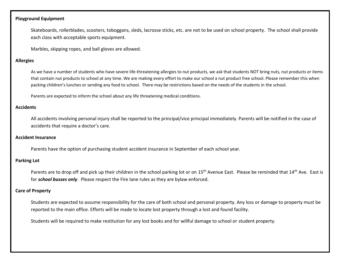#### **Playground Equipment**

Skateboards, rollerblades, scooters, toboggans, sleds, lacrosse sticks, etc. are not to be used on school property. The school shall provide each class with acceptable sports equipment.

Marbles, skipping ropes, and ball gloves are allowed.

#### **Allergies**

As we have a number of students who have severe life-threatening allergies to nut products, we ask that students NOT bring nuts, nut products or items that contain nut products to school at any time. We are making every effort to make our school a nut product free school. Please remember this when packing children's lunches or sending any food to school. There may be restrictions based on the needs of the students in the school.

Parents are expected to inform the school about any life threatening medical conditions.

#### **Accidents**

All accidents involving personal injury shall be reported to the principal/vice principal immediately. Parents will be notified in the case of accidents that require a doctor's care.

#### **Accident Insurance**

Parents have the option of purchasing student accident insurance in September of each school year.

#### **Parking Lot**

Parents are to drop off and pick up their children in the school parking lot or on 15<sup>th</sup> Avenue East. Please be reminded that 14<sup>th</sup> Ave. East is for *school busses only*. Please respect the Fire lane rules as they are bylaw enforced.

#### **Care of Property**

Students are expected to assume responsibility for the care of both school and personal property. Any loss or damage to property must be reported to the main office. Efforts will be made to locate lost property through a lost and found facility.

Students will be required to make restitution for any lost books and for willful damage to school or student property.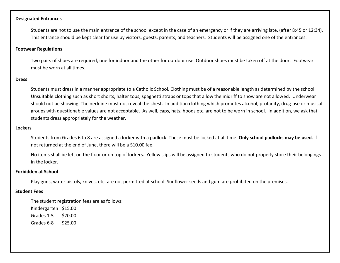#### **Designated Entrances**

Students are not to use the main entrance of the school except in the case of an emergency or if they are arriving late, (after 8:45 or 12:34). This entrance should be kept clear for use by visitors, guests, parents, and teachers. Students will be assigned one of the entrances.

#### **Footwear Regulations**

Two pairs of shoes are required, one for indoor and the other for outdoor use. Outdoor shoes must be taken off at the door. Footwear must be worn at all times.

#### **Dress**

Students must dress in a manner appropriate to a Catholic School. Clothing must be of a reasonable length as determined by the school. Unsuitable clothing such as short shorts, halter tops, spaghetti straps or tops that allow the midriff to show are not allowed. Underwear should not be showing. The neckline must not reveal the chest. In addition clothing which promotes alcohol, profanity, drug use or musical groups with questionable values are not acceptable. As well, caps, hats, hoods etc. are not to be worn in school. In addition, we ask that students dress appropriately for the weather.

#### **Lockers**

Students from Grades 6 to 8 are assigned a locker with a padlock. These must be locked at all time. **Only school padlocks may be used**. If not returned at the end of June, there will be a \$10.00 fee.

No items shall be left on the floor or on top of lockers. Yellow slips will be assigned to students who do not properly store their belongings in the locker.

#### **Forbidden at School**

Play guns, water pistols, knives, etc. are not permitted at school. Sunflower seeds and gum are prohibited on the premises.

#### **Student Fees**

The student registration fees are as follows:

Kindergarten \$15.00

Grades 1-5 \$20.00

Grades 6-8 \$25.00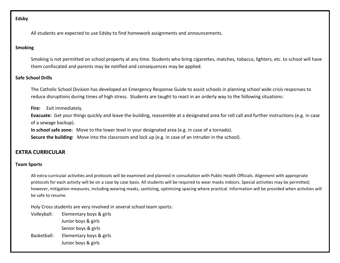#### **Edsby**

All students are expected to use Edsby to find homework assignments and announcements.

#### **Smoking**

Smoking is not permitted on school property at any time. Students who bring cigarettes, matches, tobacco, lighters, etc. to school will have them confiscated and parents may be notified and consequences may be applied.

#### **Safe School Drills**

The Catholic School Division has developed an Emergency Response Guide to assist schools in planning school wide crisis responses to reduce disruptions during times of high stress. Students are taught to react in an orderly way to the following situations:

**Fire:** Exit immediately.

**Evacuate:** Get your things quickly and leave the building, reassemble at a designated area for roll call and further instructions (e.g. in case of a sewage backup).

**In school safe zone:** Move to the lower level in your designated area (e.g. in case of a tornado).

**Secure the building:** Move into the classroom and lock up (e.g. in case of an intruder in the school).

#### **EXTRA CURRICULAR**

#### **Team Sports**

All extra-curricular activities and protocols will be examined and planned in consultation with Public Health Officials. Alignment with appropriate protocols for each activity will be on a case by case basis. All students will be required to wear masks indoors. Special activities may be permitted; however, mitigation measures, including wearing masks, sanitizing, optimizing spacing where practical. Information will be provided when activities will be safe to resume.

Holy Cross students are very involved in several school team sports:

Volleyball: Elementary boys & girls Junior boys & girls Senior boys & girls Basketball: Elementary boys & girls Junior boys & girls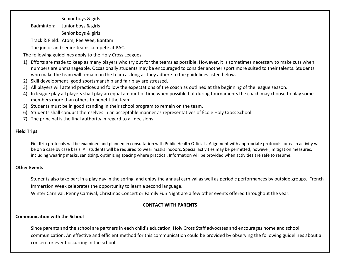Senior boys & girls Badminton: Junior boys & girls Senior boys & girls

Track & Field: Atom, Pee Wee, Bantam

The junior and senior teams compete at PAC.

The following guidelines apply to the Holy Cross Leagues:

- 1) Efforts are made to keep as many players who try out for the teams as possible. However, it is sometimes necessary to make cuts when numbers are unmanageable. Occasionally students may be encouraged to consider another sport more suited to their talents. Students who make the team will remain on the team as long as they adhere to the guidelines listed below.
- 2) Skill development, good sportsmanship and fair play are stressed.
- 3) All players will attend practices and follow the expectations of the coach as outlined at the beginning of the league season.
- 4) In league play all players shall play an equal amount of time when possible but during tournaments the coach may choose to play some members more than others to benefit the team.
- 5) Students must be in good standing in their school program to remain on the team.
- 6) Students shall conduct themselves in an acceptable manner as representatives of École Holy Cross School.
- 7) The principal is the final authority in regard to all decisions.

#### **Field Trips**

Fieldtrip protocols will be examined and planned in consultation with Public Health Officials. Alignment with appropriate protocols for each activity will be on a case by case basis. All students will be required to wear masks indoors. Special activities may be permitted; however, mitigation measures, including wearing masks, sanitizing, optimizing spacing where practical. Information will be provided when activities are safe to resume.

#### **Other Events**

Students also take part in a play day in the spring, and enjoy the annual carnival as well as periodic performances by outside groups. French Immersion Week celebrates the opportunity to learn a second language.

Winter Carnival, Penny Carnival, Christmas Concert or Family Fun Night are a few other events offered throughout the year.

#### **CONTACT WITH PARENTS**

#### **Communication with the School**

Since parents and the school are partners in each child's education, Holy Cross Staff advocates and encourages home and school communication. An effective and efficient method for this communication could be provided by observing the following guidelines about a concern or event occurring in the school.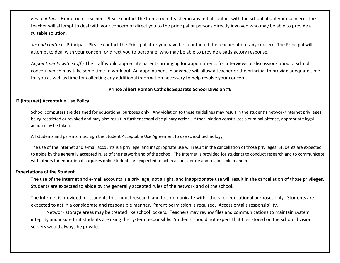*First contact* - Homeroom Teacher - Please contact the homeroom teacher in any initial contact with the school about your concern. The teacher will attempt to deal with your concern or direct you to the principal or persons directly involved who may be able to provide a suitable solution.

*Second contact* - Principal - Please contact the Principal after you have first contacted the teacher about any concern. The Principal will attempt to deal with your concern or direct you to personnel who may be able to provide a satisfactory response.

*Appointments with staff* - The staff would appreciate parents arranging for appointments for interviews or discussions about a school concern which may take some time to work out. An appointment in advance will allow a teacher or the principal to provide adequate time for you as well as time for collecting any additional information necessary to help resolve your concern.

#### **Prince Albert Roman Catholic Separate School Division #6**

#### **IT (Internet) Acceptable Use Policy**

School computers are designed for educational purposes only. Any violation to these guidelines may result in the student's network/internet privileges being restricted or revoked and may also result in further school disciplinary action. If the violation constitutes a criminal offence, appropriate legal action may be taken.

All students and parents must sign the Student Acceptable Use Agreement to use school technology.

The use of the Internet and e-mail accounts is a privilege, and inappropriate use will result in the cancellation of those privileges. Students are expected to abide by the generally accepted rules of the network and of the school. The Internet is provided for students to conduct research and to communicate with others for educational purposes only. Students are expected to act in a considerate and responsible manner.

#### **Expectations of the Student**

The use of the Internet and e-mail accounts is a privilege, not a right, and inappropriate use will result in the cancellation of those privileges. Students are expected to abide by the generally accepted rules of the network and of the school.

The Internet is provided for students to conduct research and to communicate with others for educational purposes only. Students are expected to act in a considerate and responsible manner. Parent permission is required. Access entails responsibility.

Network storage areas may be treated like school lockers. Teachers may review files and communications to maintain system integrity and insure that students are using the system responsibly. Students should not expect that files stored on the school division servers would always be private.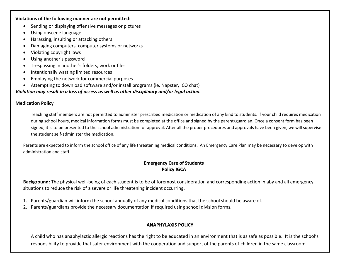**Violations of the following manner are not permitted:**

- Sending or displaying offensive messages or pictures
- Using obscene language
- Harassing, insulting or attacking others
- Damaging computers, computer systems or networks
- Violating copyright laws
- Using another's password
- Trespassing in another's folders, work or files
- Intentionally wasting limited resources
- Employing the network for commercial purposes
- Attempting to download software and/or install programs (ie. Napster, ICQ chat)

## *Violation may result in a loss of access as well as other disciplinary and/or legal action.*

## **Medication Policy**

Teaching staff members are not permitted to administer prescribed medication or medication of any kind to students. If your child requires medication during school hours, medical information forms must be completed at the office and signed by the parent/guardian. Once a consent form has been signed, it is to be presented to the school administration for approval. After all the proper procedures and approvals have been given, we will supervise the student self-administer the medication.

Parents are expected to inform the school office of any life threatening medical conditions. An Emergency Care Plan may be necessary to develop with administration and staff.

## **Emergency Care of Students Policy IGCA**

**Background:** The physical well-being of each student is to be of foremost consideration and corresponding action in aby and all emergency situations to reduce the risk of a severe or life threatening incident occurring.

- 1. Parents/guardian will inform the school annually of any medical conditions that the school should be aware of.
- 2. Parents/guardians provide the necessary documentation if required using school division forms.

## **ANAPHYLAXIS POLICY**

A child who has anaphylactic allergic reactions has the right to be educated in an environment that is as safe as possible. It is the school's responsibility to provide that safer environment with the cooperation and support of the parents of children in the same classroom.